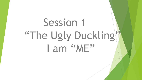# Session 1 "The Ugly Duckling" I am "ME"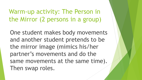Warm-up activity: The Person in the Mirror (2 persons in a group)

One student makes body movements and another student pretends to be the mirror image (mimics his/her partner's movements and do the same movements at the same time). Then swap roles.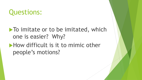# Questions:

## $\blacktriangleright$  To imitate or to be imitated, which one is easier? Why? How difficult is it to mimic other people's motions?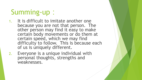# Summing-up:

- 1. It is difficult to imitate another one because you are not that person. The other person may find it easy to make certain body movements or do them at certain speed, which we may find difficulty to follow. This is because each of us is uniquely different.
- 2. Everyone is a unique individual with personal thoughts, strengths and weaknesses.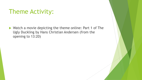### Theme Activity:

▶ Watch a movie depicting the theme online: Part 1 of The Ugly Duckling by Hans Christian Andersen (from the opening to 13:20)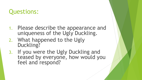### Questions:

- 1. Please describe the appearance and uniqueness of the Ugly Duckling.
- 2. What happened to the Ugly Duckling?
- 3. If you were the Ugly Duckling and teased by everyone, how would you feel and respond?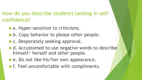#### How do you describe students lacking in selfconfidence?

- **a.** Hyper-sensitive to criticisms.
- b. Copy behavior to please other people.
- **C. Desperately seeking approval.**
- d. Accustomed to use negative words to describe himself/ herself and other people.
- **Le. Do not like his/her own appearance.**
- **F. Feel uncomfortable with compliments.**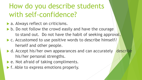# How do you describe students with self-confidence?

- a. Always reflect on criticisms.
- b. Do not follow the crowd easily and have the courage to stand out. Do not have the habit of seeking approval.
- ▶ c. Accustomed to use positive words to describe himself/ herself and other people.
- d. Accept his/her own appearances and can accurately describe his/her personal strengths.
- ▶ e. Not afraid of taking compliments.
- **F. Able to express emotions properly.**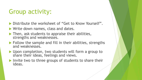### Group activity:

- Distribute the worksheet of "Get to Know Yourself".
- **Write down names, class and dates.**
- $\blacktriangleright$  Then, ask students to appraise their abilities, strengths and weaknesses.
- $\blacktriangleright$  Follow the sample and fill in their abilities, strengths and weaknesses.
- ▶ Upon completion, two students will form a group to share their ideas, feelings and views.
- Invite two to three groups of students to share their ideas.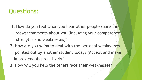### Questions:

- 1. How do you feel when you hear other people share their views/comments about you (including your competence, strengths and weaknesses)?
- 2. How are you going to deal with the personal weaknesses pointed out by another student today? (Accept and make improvements proactively.)
- 3. How will you help the others face their weaknesses?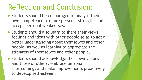# Reflection and Conclusion:

- Students should be encouraged to analyse their own competence, explore personal strengths and accept personal weaknesses.
- Students should also learn to share their views, feelings and ideas with other people so as to get a better understanding about themselves and other people, as well as learning to appreciate the strengths of themselves and other people.
- Students should acknowledge their own virtues and those of others, embrace personal shortcomings and make improvements proactively to develop self-esteem.